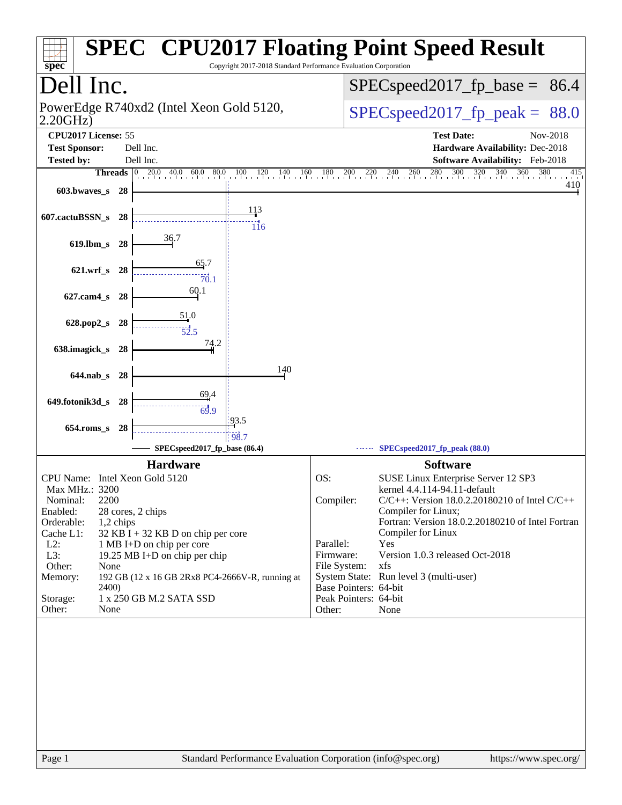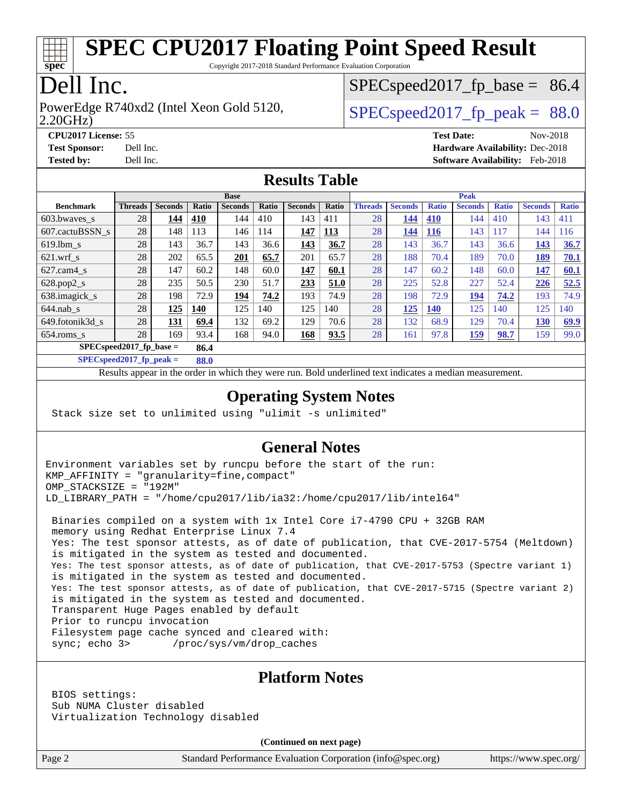

Copyright 2017-2018 Standard Performance Evaluation Corporation

## Dell Inc.

2.20GHz) PowerEdge R740xd2 (Intel Xeon Gold 5120,  $\vert$  [SPECspeed2017\\_fp\\_peak =](http://www.spec.org/auto/cpu2017/Docs/result-fields.html#SPECspeed2017fppeak) 88.0

 $SPECspeed2017<sub>fp</sub> base = 86.4$ 

**[CPU2017 License:](http://www.spec.org/auto/cpu2017/Docs/result-fields.html#CPU2017License)** 55 **[Test Date:](http://www.spec.org/auto/cpu2017/Docs/result-fields.html#TestDate)** Nov-2018 **[Test Sponsor:](http://www.spec.org/auto/cpu2017/Docs/result-fields.html#TestSponsor)** Dell Inc. **[Hardware Availability:](http://www.spec.org/auto/cpu2017/Docs/result-fields.html#HardwareAvailability)** Dec-2018 **[Tested by:](http://www.spec.org/auto/cpu2017/Docs/result-fields.html#Testedby)** Dell Inc. **[Software Availability:](http://www.spec.org/auto/cpu2017/Docs/result-fields.html#SoftwareAvailability)** Feb-2018

#### **[Results Table](http://www.spec.org/auto/cpu2017/Docs/result-fields.html#ResultsTable)**

|                                     | <b>Base</b>    |                |       |                |       |                | <b>Peak</b> |                |                |              |                |              |                |              |
|-------------------------------------|----------------|----------------|-------|----------------|-------|----------------|-------------|----------------|----------------|--------------|----------------|--------------|----------------|--------------|
| <b>Benchmark</b>                    | <b>Threads</b> | <b>Seconds</b> | Ratio | <b>Seconds</b> | Ratio | <b>Seconds</b> | Ratio       | <b>Threads</b> | <b>Seconds</b> | <b>Ratio</b> | <b>Seconds</b> | <b>Ratio</b> | <b>Seconds</b> | <b>Ratio</b> |
| 603.bwayes_s                        | 28             | 144            | 410   | 144            | 410   | 143            | 411         | 28             | 144            | <b>410</b>   | 144            | 410          | 143            | 411          |
| 607.cactuBSSN s                     | 28             | 148            | 113   | 146            | 114   | 147            | <u>113</u>  | 28             | 144            | <b>116</b>   | 143            | 117          | 144            | 116          |
| $619.1$ bm s                        | 28             | 143            | 36.7  | 143            | 36.6  | 143            | 36.7        | 28             | 143            | 36.7         | 143            | 36.6         | 143            | 36.7         |
| $621$ .wrf s                        | 28             | 202            | 65.5  | 201            | 65.7  | 201            | 65.7        | 28             | 188            | 70.4         | 189            | 70.0         | 189            | 70.1         |
| $627$ .cam $4 \text{ s}$            | 28             | 147            | 60.2  | 148            | 60.0  | 147            | 60.1        | 28             | 147            | 60.2         | 148            | 60.0         | 147            | 60.1         |
| $628.pop2_s$                        | 28             | 235            | 50.5  | 230            | 51.7  | 233            | 51.0        | 28             | 225            | 52.8         | 227            | 52.4         | 226            | 52.5         |
| 638.imagick_s                       | 28             | 198            | 72.9  | 194            | 74.2  | 193            | 74.9        | 28             | 198            | 72.9         | 194            | 74.2         | 193            | 74.9         |
| $644$ .nab s                        | 28             | 125            | 140   | 125            | 140   | 125            | 140         | 28             | 125            | <b>140</b>   | 125            | 140          | 125            | 140          |
| 649.fotonik3d s                     | 28             | 131            | 69.4  | 132            | 69.2  | 129            | 70.6        | 28             | 132            | 68.9         | 129            | 70.4         | 130            | 69.9         |
| $654$ .roms s                       | 28             | 169            | 93.4  | 168            | 94.0  | 168            | 93.5        | 28             | 161            | 97.8         | 159            | 98.7         | 159            | 99.0         |
| $SPEC speed2017_fp\_base =$<br>86.4 |                |                |       |                |       |                |             |                |                |              |                |              |                |              |

**[SPECspeed2017\\_fp\\_peak =](http://www.spec.org/auto/cpu2017/Docs/result-fields.html#SPECspeed2017fppeak) 88.0**

Results appear in the [order in which they were run.](http://www.spec.org/auto/cpu2017/Docs/result-fields.html#RunOrder) Bold underlined text [indicates a median measurement](http://www.spec.org/auto/cpu2017/Docs/result-fields.html#Median).

#### **[Operating System Notes](http://www.spec.org/auto/cpu2017/Docs/result-fields.html#OperatingSystemNotes)**

Stack size set to unlimited using "ulimit -s unlimited"

#### **[General Notes](http://www.spec.org/auto/cpu2017/Docs/result-fields.html#GeneralNotes)**

Environment variables set by runcpu before the start of the run: KMP\_AFFINITY = "granularity=fine,compact" OMP\_STACKSIZE = "192M" LD\_LIBRARY\_PATH = "/home/cpu2017/lib/ia32:/home/cpu2017/lib/intel64"

 Binaries compiled on a system with 1x Intel Core i7-4790 CPU + 32GB RAM memory using Redhat Enterprise Linux 7.4 Yes: The test sponsor attests, as of date of publication, that CVE-2017-5754 (Meltdown) is mitigated in the system as tested and documented. Yes: The test sponsor attests, as of date of publication, that CVE-2017-5753 (Spectre variant 1) is mitigated in the system as tested and documented. Yes: The test sponsor attests, as of date of publication, that CVE-2017-5715 (Spectre variant 2) is mitigated in the system as tested and documented. Transparent Huge Pages enabled by default Prior to runcpu invocation Filesystem page cache synced and cleared with: sync; echo 3> /proc/sys/vm/drop\_caches

#### **[Platform Notes](http://www.spec.org/auto/cpu2017/Docs/result-fields.html#PlatformNotes)**

 BIOS settings: Sub NUMA Cluster disabled Virtualization Technology disabled

**(Continued on next page)**

Page 2 Standard Performance Evaluation Corporation [\(info@spec.org\)](mailto:info@spec.org) <https://www.spec.org/>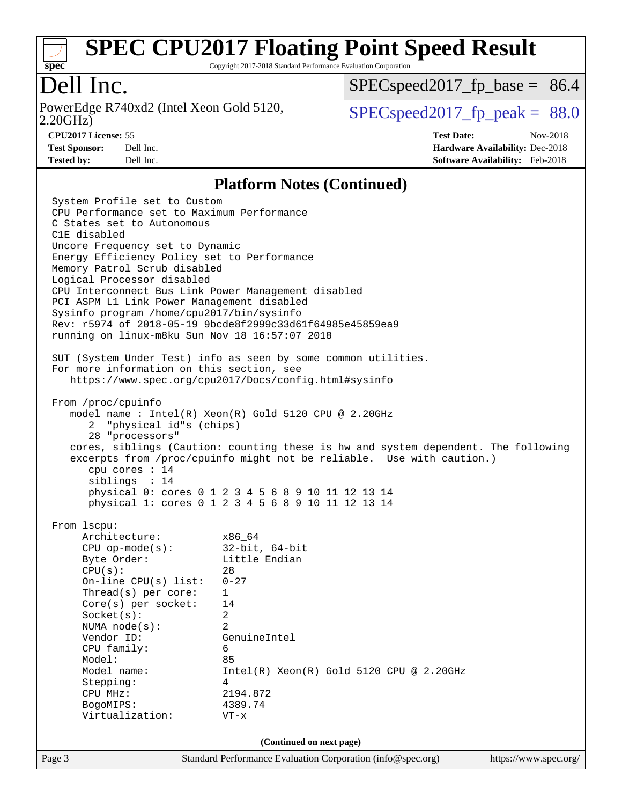

Copyright 2017-2018 Standard Performance Evaluation Corporation

## Dell Inc.

2.20GHz) PowerEdge R740xd2 (Intel Xeon Gold 5120,  $\vert$  [SPECspeed2017\\_fp\\_peak =](http://www.spec.org/auto/cpu2017/Docs/result-fields.html#SPECspeed2017fppeak) 88.0

 $SPECspeed2017<sub>fp</sub> base = 86.4$ 

**[CPU2017 License:](http://www.spec.org/auto/cpu2017/Docs/result-fields.html#CPU2017License)** 55 **[Test Date:](http://www.spec.org/auto/cpu2017/Docs/result-fields.html#TestDate)** Nov-2018 **[Test Sponsor:](http://www.spec.org/auto/cpu2017/Docs/result-fields.html#TestSponsor)** Dell Inc. **[Hardware Availability:](http://www.spec.org/auto/cpu2017/Docs/result-fields.html#HardwareAvailability)** Dec-2018 **[Tested by:](http://www.spec.org/auto/cpu2017/Docs/result-fields.html#Testedby)** Dell Inc. **[Software Availability:](http://www.spec.org/auto/cpu2017/Docs/result-fields.html#SoftwareAvailability)** Feb-2018

#### **[Platform Notes \(Continued\)](http://www.spec.org/auto/cpu2017/Docs/result-fields.html#PlatformNotes)**

Page 3 Standard Performance Evaluation Corporation [\(info@spec.org\)](mailto:info@spec.org) <https://www.spec.org/> System Profile set to Custom CPU Performance set to Maximum Performance C States set to Autonomous C1E disabled Uncore Frequency set to Dynamic Energy Efficiency Policy set to Performance Memory Patrol Scrub disabled Logical Processor disabled CPU Interconnect Bus Link Power Management disabled PCI ASPM L1 Link Power Management disabled Sysinfo program /home/cpu2017/bin/sysinfo Rev: r5974 of 2018-05-19 9bcde8f2999c33d61f64985e45859ea9 running on linux-m8ku Sun Nov 18 16:57:07 2018 SUT (System Under Test) info as seen by some common utilities. For more information on this section, see <https://www.spec.org/cpu2017/Docs/config.html#sysinfo> From /proc/cpuinfo model name : Intel(R) Xeon(R) Gold 5120 CPU @ 2.20GHz 2 "physical id"s (chips) 28 "processors" cores, siblings (Caution: counting these is hw and system dependent. The following excerpts from /proc/cpuinfo might not be reliable. Use with caution.) cpu cores : 14 siblings : 14 physical 0: cores 0 1 2 3 4 5 6 8 9 10 11 12 13 14 physical 1: cores 0 1 2 3 4 5 6 8 9 10 11 12 13 14 From lscpu: Architecture: x86\_64 CPU op-mode(s): 32-bit, 64-bit Byte Order: Little Endian  $CPU(s):$  28 On-line CPU(s) list: 0-27 Thread(s) per core: 1 Core(s) per socket: 14 Socket(s): 2 NUMA node(s): 2 Vendor ID: GenuineIntel CPU family: 6 Model: 85 Model name:  $Intel(R)$  Xeon(R) Gold 5120 CPU @ 2.20GHz Stepping: 4 CPU MHz: 2194.872 BogoMIPS: 4389.74 Virtualization: VT-x **(Continued on next page)**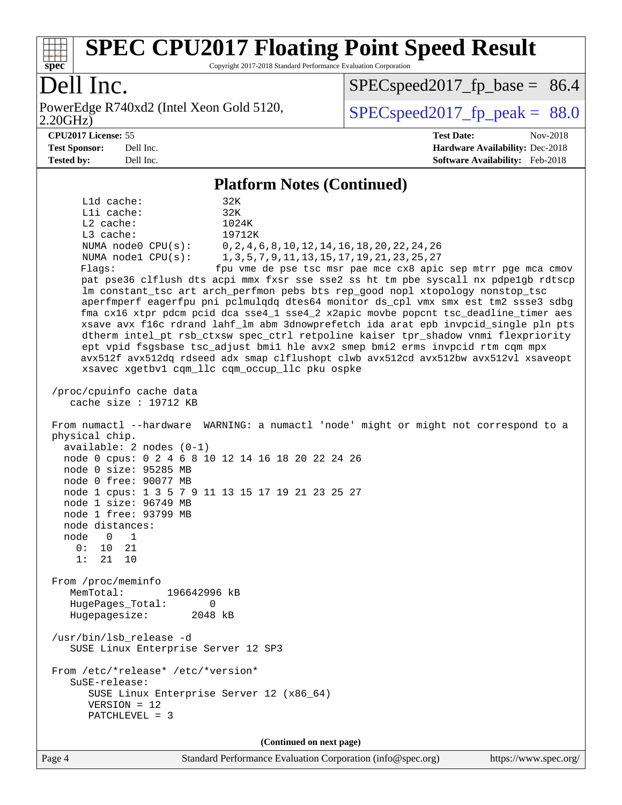

Copyright 2017-2018 Standard Performance Evaluation Corporation

## Dell Inc.

2.20GHz) PowerEdge R740xd2 (Intel Xeon Gold 5120,  $\vert$  [SPECspeed2017\\_fp\\_peak =](http://www.spec.org/auto/cpu2017/Docs/result-fields.html#SPECspeed2017fppeak) 88.0

 $SPECspeed2017<sub>fp</sub> base = 86.4$ 

**[CPU2017 License:](http://www.spec.org/auto/cpu2017/Docs/result-fields.html#CPU2017License)** 55 **[Test Date:](http://www.spec.org/auto/cpu2017/Docs/result-fields.html#TestDate)** Nov-2018 **[Test Sponsor:](http://www.spec.org/auto/cpu2017/Docs/result-fields.html#TestSponsor)** Dell Inc. **[Hardware Availability:](http://www.spec.org/auto/cpu2017/Docs/result-fields.html#HardwareAvailability)** Dec-2018 **[Tested by:](http://www.spec.org/auto/cpu2017/Docs/result-fields.html#Testedby)** Dell Inc. **[Software Availability:](http://www.spec.org/auto/cpu2017/Docs/result-fields.html#SoftwareAvailability)** Feb-2018

#### **[Platform Notes \(Continued\)](http://www.spec.org/auto/cpu2017/Docs/result-fields.html#PlatformNotes)**

 L1d cache: 32K L1i cache: 32K L2 cache: 1024K L3 cache: 19712K NUMA node0 CPU(s): 0,2,4,6,8,10,12,14,16,18,20,22,24,26 NUMA node1 CPU(s): 1,3,5,7,9,11,13,15,17,19,21,23,25,27 Flags: fpu vme de pse tsc msr pae mce cx8 apic sep mtrr pge mca cmov pat pse36 clflush dts acpi mmx fxsr sse sse2 ss ht tm pbe syscall nx pdpe1gb rdtscp lm constant\_tsc art arch\_perfmon pebs bts rep\_good nopl xtopology nonstop\_tsc aperfmperf eagerfpu pni pclmulqdq dtes64 monitor ds\_cpl vmx smx est tm2 ssse3 sdbg fma cx16 xtpr pdcm pcid dca sse4\_1 sse4\_2 x2apic movbe popcnt tsc\_deadline\_timer aes xsave avx f16c rdrand lahf\_lm abm 3dnowprefetch ida arat epb invpcid\_single pln pts dtherm intel\_pt rsb\_ctxsw spec\_ctrl retpoline kaiser tpr\_shadow vnmi flexpriority ept vpid fsgsbase tsc\_adjust bmi1 hle avx2 smep bmi2 erms invpcid rtm cqm mpx avx512f avx512dq rdseed adx smap clflushopt clwb avx512cd avx512bw avx512vl xsaveopt xsavec xgetbv1 cqm\_llc cqm\_occup\_llc pku ospke /proc/cpuinfo cache data cache size : 19712 KB From numactl --hardware WARNING: a numactl 'node' might or might not correspond to a physical chip. available: 2 nodes (0-1) node 0 cpus: 0 2 4 6 8 10 12 14 16 18 20 22 24 26 node 0 size: 95285 MB node 0 free: 90077 MB node 1 cpus: 1 3 5 7 9 11 13 15 17 19 21 23 25 27 node 1 size: 96749 MB node 1 free: 93799 MB node distances: node 0 1  $0: 10 21$  1: 21 10 From /proc/meminfo MemTotal: 196642996 kB HugePages\_Total: 0 Hugepagesize: 2048 kB /usr/bin/lsb\_release -d SUSE Linux Enterprise Server 12 SP3 From /etc/\*release\* /etc/\*version\* SuSE-release: SUSE Linux Enterprise Server 12 (x86\_64) VERSION = 12 PATCHLEVEL = 3

**(Continued on next page)**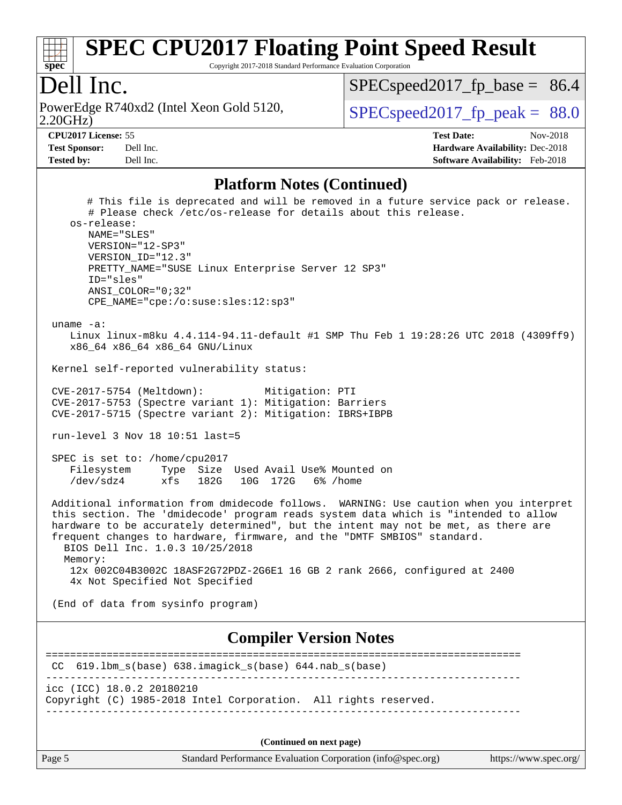

Copyright 2017-2018 Standard Performance Evaluation Corporation

#### Dell Inc.

2.20GHz) PowerEdge R740xd2 (Intel Xeon Gold 5120,  $\vert$  [SPECspeed2017\\_fp\\_peak =](http://www.spec.org/auto/cpu2017/Docs/result-fields.html#SPECspeed2017fppeak) 88.0

 $SPECspeed2017_fp\_base = 86.4$ 

**[Tested by:](http://www.spec.org/auto/cpu2017/Docs/result-fields.html#Testedby)** Dell Inc. **[Software Availability:](http://www.spec.org/auto/cpu2017/Docs/result-fields.html#SoftwareAvailability)** Feb-2018

**[CPU2017 License:](http://www.spec.org/auto/cpu2017/Docs/result-fields.html#CPU2017License)** 55 **[Test Date:](http://www.spec.org/auto/cpu2017/Docs/result-fields.html#TestDate)** Nov-2018 **[Test Sponsor:](http://www.spec.org/auto/cpu2017/Docs/result-fields.html#TestSponsor)** Dell Inc. **[Hardware Availability:](http://www.spec.org/auto/cpu2017/Docs/result-fields.html#HardwareAvailability)** Dec-2018

#### **[Platform Notes \(Continued\)](http://www.spec.org/auto/cpu2017/Docs/result-fields.html#PlatformNotes)**

 # This file is deprecated and will be removed in a future service pack or release. # Please check /etc/os-release for details about this release. os-release: NAME="SLES" VERSION="12-SP3" VERSION\_ID="12.3" PRETTY\_NAME="SUSE Linux Enterprise Server 12 SP3" ID="sles" ANSI\_COLOR="0;32" CPE\_NAME="cpe:/o:suse:sles:12:sp3" uname -a: Linux linux-m8ku 4.4.114-94.11-default #1 SMP Thu Feb 1 19:28:26 UTC 2018 (4309ff9) x86\_64 x86\_64 x86\_64 GNU/Linux Kernel self-reported vulnerability status: CVE-2017-5754 (Meltdown): Mitigation: PTI CVE-2017-5753 (Spectre variant 1): Mitigation: Barriers CVE-2017-5715 (Spectre variant 2): Mitigation: IBRS+IBPB run-level 3 Nov 18 10:51 last=5 SPEC is set to: /home/cpu2017 Filesystem Type Size Used Avail Use% Mounted on /dev/sdz4 xfs 182G 10G 172G 6% /home Additional information from dmidecode follows. WARNING: Use caution when you interpret this section. The 'dmidecode' program reads system data which is "intended to allow hardware to be accurately determined", but the intent may not be met, as there are frequent changes to hardware, firmware, and the "DMTF SMBIOS" standard. BIOS Dell Inc. 1.0.3 10/25/2018 Memory: 12x 002C04B3002C 18ASF2G72PDZ-2G6E1 16 GB 2 rank 2666, configured at 2400 4x Not Specified Not Specified (End of data from sysinfo program) **[Compiler Version Notes](http://www.spec.org/auto/cpu2017/Docs/result-fields.html#CompilerVersionNotes)** ============================================================================== CC 619.lbm\_s(base) 638.imagick\_s(base) 644.nab\_s(base) ----------------------------------------------------------------------------- icc (ICC) 18.0.2 20180210 Copyright (C) 1985-2018 Intel Corporation. All rights reserved. ------------------------------------------------------------------------------

**(Continued on next page)**

Page 5 Standard Performance Evaluation Corporation [\(info@spec.org\)](mailto:info@spec.org) <https://www.spec.org/>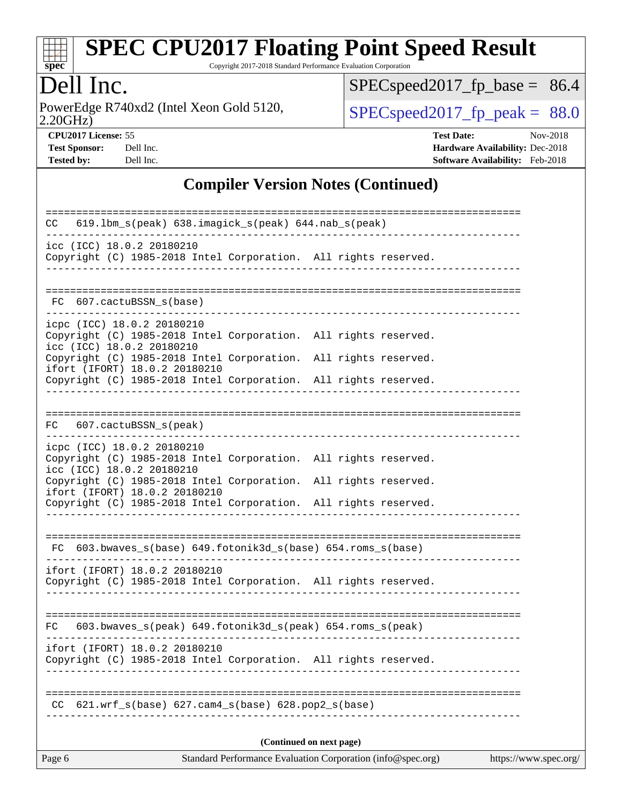

Copyright 2017-2018 Standard Performance Evaluation Corporation

## Dell Inc.

2.20GHz) PowerEdge R740xd2 (Intel Xeon Gold 5120,  $\text{SPEC speed2017\_fp\_peak} = 88.0$ 

[SPECspeed2017\\_fp\\_base =](http://www.spec.org/auto/cpu2017/Docs/result-fields.html#SPECspeed2017fpbase) 86.4

**[CPU2017 License:](http://www.spec.org/auto/cpu2017/Docs/result-fields.html#CPU2017License)** 55 **[Test Date:](http://www.spec.org/auto/cpu2017/Docs/result-fields.html#TestDate)** Nov-2018 **[Test Sponsor:](http://www.spec.org/auto/cpu2017/Docs/result-fields.html#TestSponsor)** Dell Inc. **[Hardware Availability:](http://www.spec.org/auto/cpu2017/Docs/result-fields.html#HardwareAvailability)** Dec-2018 **[Tested by:](http://www.spec.org/auto/cpu2017/Docs/result-fields.html#Testedby)** Dell Inc. **[Software Availability:](http://www.spec.org/auto/cpu2017/Docs/result-fields.html#SoftwareAvailability)** Feb-2018

#### **[Compiler Version Notes \(Continued\)](http://www.spec.org/auto/cpu2017/Docs/result-fields.html#CompilerVersionNotes)**

| 619.1bm_s(peak) 638.imagick_s(peak) 644.nab_s(peak)<br>CC.                                                                 |  |  |  |  |  |  |  |
|----------------------------------------------------------------------------------------------------------------------------|--|--|--|--|--|--|--|
| icc (ICC) 18.0.2 20180210<br>Copyright (C) 1985-2018 Intel Corporation. All rights reserved.                               |  |  |  |  |  |  |  |
|                                                                                                                            |  |  |  |  |  |  |  |
| FC 607.cactuBSSN_s(base)                                                                                                   |  |  |  |  |  |  |  |
| icpc (ICC) 18.0.2 20180210<br>Copyright (C) 1985-2018 Intel Corporation. All rights reserved.<br>icc (ICC) 18.0.2 20180210 |  |  |  |  |  |  |  |
| Copyright (C) 1985-2018 Intel Corporation. All rights reserved.<br>ifort (IFORT) 18.0.2 20180210                           |  |  |  |  |  |  |  |
| Copyright (C) 1985-2018 Intel Corporation. All rights reserved.                                                            |  |  |  |  |  |  |  |
|                                                                                                                            |  |  |  |  |  |  |  |
| FC 607.cactuBSSN_s(peak)                                                                                                   |  |  |  |  |  |  |  |
| icpc (ICC) 18.0.2 20180210                                                                                                 |  |  |  |  |  |  |  |
| Copyright (C) 1985-2018 Intel Corporation. All rights reserved.<br>icc (ICC) 18.0.2 20180210                               |  |  |  |  |  |  |  |
| Copyright (C) 1985-2018 Intel Corporation. All rights reserved.<br>ifort (IFORT) 18.0.2 20180210                           |  |  |  |  |  |  |  |
| Copyright (C) 1985-2018 Intel Corporation. All rights reserved.                                                            |  |  |  |  |  |  |  |
|                                                                                                                            |  |  |  |  |  |  |  |
| $FC 603.bwaves_s(base) 649.fotonik3d_s(base) 654.roms_s(base)$                                                             |  |  |  |  |  |  |  |
| ifort (IFORT) 18.0.2 20180210                                                                                              |  |  |  |  |  |  |  |
| Copyright (C) 1985-2018 Intel Corporation. All rights reserved.                                                            |  |  |  |  |  |  |  |
|                                                                                                                            |  |  |  |  |  |  |  |
| $603.bwaves_s (peak) 649.fotonik3d_s (peak) 654.roms_s (peak)$<br>FC.                                                      |  |  |  |  |  |  |  |
| ifort (IFORT) 18.0.2 20180210<br>Copyright (C) 1985-2018 Intel Corporation. All rights reserved.                           |  |  |  |  |  |  |  |
|                                                                                                                            |  |  |  |  |  |  |  |
| $621.wrf_s(base)$ $627.cam4_s(base)$ $628.pop2_s(base)$<br>CC.                                                             |  |  |  |  |  |  |  |
| (Continued on next page)                                                                                                   |  |  |  |  |  |  |  |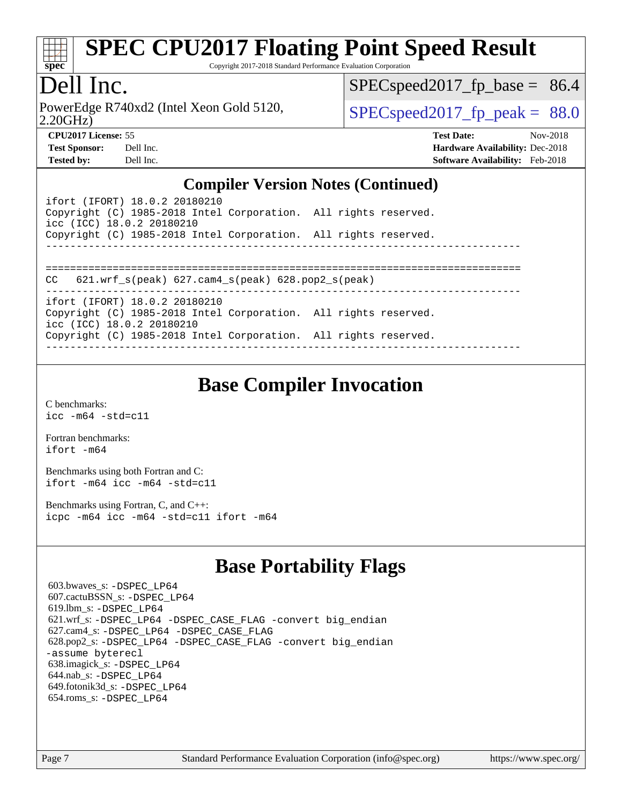

Copyright 2017-2018 Standard Performance Evaluation Corporation

#### Dell Inc.

2.20GHz) PowerEdge R740xd2 (Intel Xeon Gold 5120,  $\vert$  [SPECspeed2017\\_fp\\_peak =](http://www.spec.org/auto/cpu2017/Docs/result-fields.html#SPECspeed2017fppeak) 88.0

 $SPECspeed2017_fp\_base = 86.4$ 

**[CPU2017 License:](http://www.spec.org/auto/cpu2017/Docs/result-fields.html#CPU2017License)** 55 **[Test Date:](http://www.spec.org/auto/cpu2017/Docs/result-fields.html#TestDate)** Nov-2018 **[Test Sponsor:](http://www.spec.org/auto/cpu2017/Docs/result-fields.html#TestSponsor)** Dell Inc. **[Hardware Availability:](http://www.spec.org/auto/cpu2017/Docs/result-fields.html#HardwareAvailability)** Dec-2018 **[Tested by:](http://www.spec.org/auto/cpu2017/Docs/result-fields.html#Testedby)** Dell Inc. **[Software Availability:](http://www.spec.org/auto/cpu2017/Docs/result-fields.html#SoftwareAvailability)** Feb-2018

#### **[Compiler Version Notes \(Continued\)](http://www.spec.org/auto/cpu2017/Docs/result-fields.html#CompilerVersionNotes)**

ifort (IFORT) 18.0.2 20180210 Copyright (C) 1985-2018 Intel Corporation. All rights reserved. icc (ICC) 18.0.2 20180210 Copyright (C) 1985-2018 Intel Corporation. All rights reserved. ------------------------------------------------------------------------------ ============================================================================== CC 621.wrf\_s(peak) 627.cam4\_s(peak) 628.pop2\_s(peak) ----------------------------------------------------------------------------- ifort (IFORT) 18.0.2 20180210 Copyright (C) 1985-2018 Intel Corporation. All rights reserved. icc (ICC) 18.0.2 20180210 Copyright (C) 1985-2018 Intel Corporation. All rights reserved. ------------------------------------------------------------------------------

## **[Base Compiler Invocation](http://www.spec.org/auto/cpu2017/Docs/result-fields.html#BaseCompilerInvocation)**

[C benchmarks](http://www.spec.org/auto/cpu2017/Docs/result-fields.html#Cbenchmarks): [icc -m64 -std=c11](http://www.spec.org/cpu2017/results/res2018q4/cpu2017-20181210-10220.flags.html#user_CCbase_intel_icc_64bit_c11_33ee0cdaae7deeeab2a9725423ba97205ce30f63b9926c2519791662299b76a0318f32ddfffdc46587804de3178b4f9328c46fa7c2b0cd779d7a61945c91cd35)

[Fortran benchmarks](http://www.spec.org/auto/cpu2017/Docs/result-fields.html#Fortranbenchmarks): [ifort -m64](http://www.spec.org/cpu2017/results/res2018q4/cpu2017-20181210-10220.flags.html#user_FCbase_intel_ifort_64bit_24f2bb282fbaeffd6157abe4f878425411749daecae9a33200eee2bee2fe76f3b89351d69a8130dd5949958ce389cf37ff59a95e7a40d588e8d3a57e0c3fd751)

[Benchmarks using both Fortran and C](http://www.spec.org/auto/cpu2017/Docs/result-fields.html#BenchmarksusingbothFortranandC): [ifort -m64](http://www.spec.org/cpu2017/results/res2018q4/cpu2017-20181210-10220.flags.html#user_CC_FCbase_intel_ifort_64bit_24f2bb282fbaeffd6157abe4f878425411749daecae9a33200eee2bee2fe76f3b89351d69a8130dd5949958ce389cf37ff59a95e7a40d588e8d3a57e0c3fd751) [icc -m64 -std=c11](http://www.spec.org/cpu2017/results/res2018q4/cpu2017-20181210-10220.flags.html#user_CC_FCbase_intel_icc_64bit_c11_33ee0cdaae7deeeab2a9725423ba97205ce30f63b9926c2519791662299b76a0318f32ddfffdc46587804de3178b4f9328c46fa7c2b0cd779d7a61945c91cd35)

[Benchmarks using Fortran, C, and C++:](http://www.spec.org/auto/cpu2017/Docs/result-fields.html#BenchmarksusingFortranCandCXX) [icpc -m64](http://www.spec.org/cpu2017/results/res2018q4/cpu2017-20181210-10220.flags.html#user_CC_CXX_FCbase_intel_icpc_64bit_4ecb2543ae3f1412ef961e0650ca070fec7b7afdcd6ed48761b84423119d1bf6bdf5cad15b44d48e7256388bc77273b966e5eb805aefd121eb22e9299b2ec9d9) [icc -m64 -std=c11](http://www.spec.org/cpu2017/results/res2018q4/cpu2017-20181210-10220.flags.html#user_CC_CXX_FCbase_intel_icc_64bit_c11_33ee0cdaae7deeeab2a9725423ba97205ce30f63b9926c2519791662299b76a0318f32ddfffdc46587804de3178b4f9328c46fa7c2b0cd779d7a61945c91cd35) [ifort -m64](http://www.spec.org/cpu2017/results/res2018q4/cpu2017-20181210-10220.flags.html#user_CC_CXX_FCbase_intel_ifort_64bit_24f2bb282fbaeffd6157abe4f878425411749daecae9a33200eee2bee2fe76f3b89351d69a8130dd5949958ce389cf37ff59a95e7a40d588e8d3a57e0c3fd751)

## **[Base Portability Flags](http://www.spec.org/auto/cpu2017/Docs/result-fields.html#BasePortabilityFlags)**

 603.bwaves\_s: [-DSPEC\\_LP64](http://www.spec.org/cpu2017/results/res2018q4/cpu2017-20181210-10220.flags.html#suite_basePORTABILITY603_bwaves_s_DSPEC_LP64) 607.cactuBSSN\_s: [-DSPEC\\_LP64](http://www.spec.org/cpu2017/results/res2018q4/cpu2017-20181210-10220.flags.html#suite_basePORTABILITY607_cactuBSSN_s_DSPEC_LP64) 619.lbm\_s: [-DSPEC\\_LP64](http://www.spec.org/cpu2017/results/res2018q4/cpu2017-20181210-10220.flags.html#suite_basePORTABILITY619_lbm_s_DSPEC_LP64) 621.wrf\_s: [-DSPEC\\_LP64](http://www.spec.org/cpu2017/results/res2018q4/cpu2017-20181210-10220.flags.html#suite_basePORTABILITY621_wrf_s_DSPEC_LP64) [-DSPEC\\_CASE\\_FLAG](http://www.spec.org/cpu2017/results/res2018q4/cpu2017-20181210-10220.flags.html#b621.wrf_s_baseCPORTABILITY_DSPEC_CASE_FLAG) [-convert big\\_endian](http://www.spec.org/cpu2017/results/res2018q4/cpu2017-20181210-10220.flags.html#user_baseFPORTABILITY621_wrf_s_convert_big_endian_c3194028bc08c63ac5d04de18c48ce6d347e4e562e8892b8bdbdc0214820426deb8554edfa529a3fb25a586e65a3d812c835984020483e7e73212c4d31a38223) 627.cam4\_s: [-DSPEC\\_LP64](http://www.spec.org/cpu2017/results/res2018q4/cpu2017-20181210-10220.flags.html#suite_basePORTABILITY627_cam4_s_DSPEC_LP64) [-DSPEC\\_CASE\\_FLAG](http://www.spec.org/cpu2017/results/res2018q4/cpu2017-20181210-10220.flags.html#b627.cam4_s_baseCPORTABILITY_DSPEC_CASE_FLAG) 628.pop2\_s: [-DSPEC\\_LP64](http://www.spec.org/cpu2017/results/res2018q4/cpu2017-20181210-10220.flags.html#suite_basePORTABILITY628_pop2_s_DSPEC_LP64) [-DSPEC\\_CASE\\_FLAG](http://www.spec.org/cpu2017/results/res2018q4/cpu2017-20181210-10220.flags.html#b628.pop2_s_baseCPORTABILITY_DSPEC_CASE_FLAG) [-convert big\\_endian](http://www.spec.org/cpu2017/results/res2018q4/cpu2017-20181210-10220.flags.html#user_baseFPORTABILITY628_pop2_s_convert_big_endian_c3194028bc08c63ac5d04de18c48ce6d347e4e562e8892b8bdbdc0214820426deb8554edfa529a3fb25a586e65a3d812c835984020483e7e73212c4d31a38223) [-assume byterecl](http://www.spec.org/cpu2017/results/res2018q4/cpu2017-20181210-10220.flags.html#user_baseFPORTABILITY628_pop2_s_assume_byterecl_7e47d18b9513cf18525430bbf0f2177aa9bf368bc7a059c09b2c06a34b53bd3447c950d3f8d6c70e3faf3a05c8557d66a5798b567902e8849adc142926523472) 638.imagick\_s: [-DSPEC\\_LP64](http://www.spec.org/cpu2017/results/res2018q4/cpu2017-20181210-10220.flags.html#suite_basePORTABILITY638_imagick_s_DSPEC_LP64) 644.nab\_s: [-DSPEC\\_LP64](http://www.spec.org/cpu2017/results/res2018q4/cpu2017-20181210-10220.flags.html#suite_basePORTABILITY644_nab_s_DSPEC_LP64) 649.fotonik3d\_s: [-DSPEC\\_LP64](http://www.spec.org/cpu2017/results/res2018q4/cpu2017-20181210-10220.flags.html#suite_basePORTABILITY649_fotonik3d_s_DSPEC_LP64) 654.roms\_s: [-DSPEC\\_LP64](http://www.spec.org/cpu2017/results/res2018q4/cpu2017-20181210-10220.flags.html#suite_basePORTABILITY654_roms_s_DSPEC_LP64)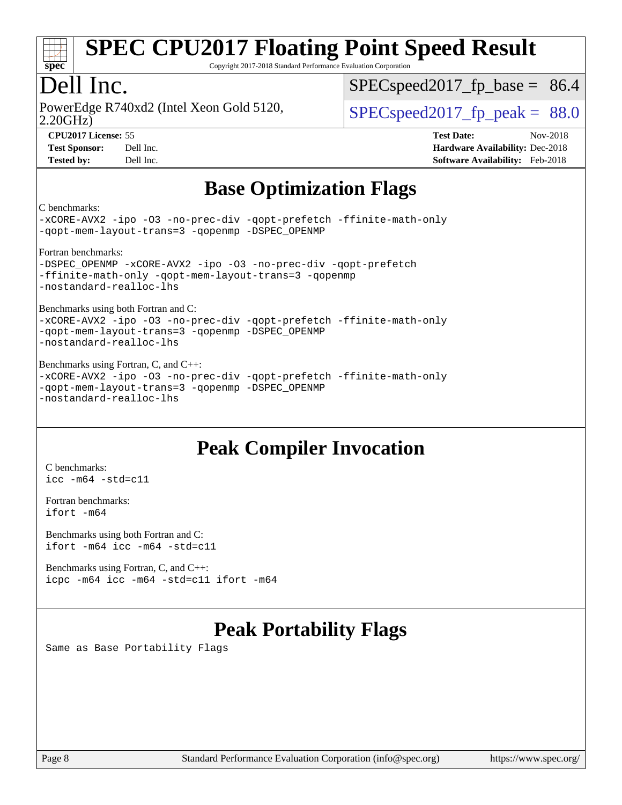

Copyright 2017-2018 Standard Performance Evaluation Corporation

## Dell Inc.

2.20GHz) PowerEdge R740xd2 (Intel Xeon Gold 5120,  $\vert$  [SPECspeed2017\\_fp\\_peak =](http://www.spec.org/auto/cpu2017/Docs/result-fields.html#SPECspeed2017fppeak) 88.0

 $SPECspeed2017<sub>fp</sub> base = 86.4$ 

**[CPU2017 License:](http://www.spec.org/auto/cpu2017/Docs/result-fields.html#CPU2017License)** 55 **[Test Date:](http://www.spec.org/auto/cpu2017/Docs/result-fields.html#TestDate)** Nov-2018 **[Test Sponsor:](http://www.spec.org/auto/cpu2017/Docs/result-fields.html#TestSponsor)** Dell Inc. **[Hardware Availability:](http://www.spec.org/auto/cpu2017/Docs/result-fields.html#HardwareAvailability)** Dec-2018 **[Tested by:](http://www.spec.org/auto/cpu2017/Docs/result-fields.html#Testedby)** Dell Inc. **[Software Availability:](http://www.spec.org/auto/cpu2017/Docs/result-fields.html#SoftwareAvailability)** Feb-2018

## **[Base Optimization Flags](http://www.spec.org/auto/cpu2017/Docs/result-fields.html#BaseOptimizationFlags)**

[C benchmarks:](http://www.spec.org/auto/cpu2017/Docs/result-fields.html#Cbenchmarks)

[-xCORE-AVX2](http://www.spec.org/cpu2017/results/res2018q4/cpu2017-20181210-10220.flags.html#user_CCbase_f-xCORE-AVX2) [-ipo](http://www.spec.org/cpu2017/results/res2018q4/cpu2017-20181210-10220.flags.html#user_CCbase_f-ipo) [-O3](http://www.spec.org/cpu2017/results/res2018q4/cpu2017-20181210-10220.flags.html#user_CCbase_f-O3) [-no-prec-div](http://www.spec.org/cpu2017/results/res2018q4/cpu2017-20181210-10220.flags.html#user_CCbase_f-no-prec-div) [-qopt-prefetch](http://www.spec.org/cpu2017/results/res2018q4/cpu2017-20181210-10220.flags.html#user_CCbase_f-qopt-prefetch) [-ffinite-math-only](http://www.spec.org/cpu2017/results/res2018q4/cpu2017-20181210-10220.flags.html#user_CCbase_f_finite_math_only_cb91587bd2077682c4b38af759c288ed7c732db004271a9512da14a4f8007909a5f1427ecbf1a0fb78ff2a814402c6114ac565ca162485bbcae155b5e4258871) [-qopt-mem-layout-trans=3](http://www.spec.org/cpu2017/results/res2018q4/cpu2017-20181210-10220.flags.html#user_CCbase_f-qopt-mem-layout-trans_de80db37974c74b1f0e20d883f0b675c88c3b01e9d123adea9b28688d64333345fb62bc4a798493513fdb68f60282f9a726aa07f478b2f7113531aecce732043) [-qopenmp](http://www.spec.org/cpu2017/results/res2018q4/cpu2017-20181210-10220.flags.html#user_CCbase_qopenmp_16be0c44f24f464004c6784a7acb94aca937f053568ce72f94b139a11c7c168634a55f6653758ddd83bcf7b8463e8028bb0b48b77bcddc6b78d5d95bb1df2967) [-DSPEC\\_OPENMP](http://www.spec.org/cpu2017/results/res2018q4/cpu2017-20181210-10220.flags.html#suite_CCbase_DSPEC_OPENMP) [Fortran benchmarks:](http://www.spec.org/auto/cpu2017/Docs/result-fields.html#Fortranbenchmarks)

[-DSPEC\\_OPENMP](http://www.spec.org/cpu2017/results/res2018q4/cpu2017-20181210-10220.flags.html#suite_FCbase_DSPEC_OPENMP) [-xCORE-AVX2](http://www.spec.org/cpu2017/results/res2018q4/cpu2017-20181210-10220.flags.html#user_FCbase_f-xCORE-AVX2) [-ipo](http://www.spec.org/cpu2017/results/res2018q4/cpu2017-20181210-10220.flags.html#user_FCbase_f-ipo) [-O3](http://www.spec.org/cpu2017/results/res2018q4/cpu2017-20181210-10220.flags.html#user_FCbase_f-O3) [-no-prec-div](http://www.spec.org/cpu2017/results/res2018q4/cpu2017-20181210-10220.flags.html#user_FCbase_f-no-prec-div) [-qopt-prefetch](http://www.spec.org/cpu2017/results/res2018q4/cpu2017-20181210-10220.flags.html#user_FCbase_f-qopt-prefetch) [-ffinite-math-only](http://www.spec.org/cpu2017/results/res2018q4/cpu2017-20181210-10220.flags.html#user_FCbase_f_finite_math_only_cb91587bd2077682c4b38af759c288ed7c732db004271a9512da14a4f8007909a5f1427ecbf1a0fb78ff2a814402c6114ac565ca162485bbcae155b5e4258871) [-qopt-mem-layout-trans=3](http://www.spec.org/cpu2017/results/res2018q4/cpu2017-20181210-10220.flags.html#user_FCbase_f-qopt-mem-layout-trans_de80db37974c74b1f0e20d883f0b675c88c3b01e9d123adea9b28688d64333345fb62bc4a798493513fdb68f60282f9a726aa07f478b2f7113531aecce732043) [-qopenmp](http://www.spec.org/cpu2017/results/res2018q4/cpu2017-20181210-10220.flags.html#user_FCbase_qopenmp_16be0c44f24f464004c6784a7acb94aca937f053568ce72f94b139a11c7c168634a55f6653758ddd83bcf7b8463e8028bb0b48b77bcddc6b78d5d95bb1df2967) [-nostandard-realloc-lhs](http://www.spec.org/cpu2017/results/res2018q4/cpu2017-20181210-10220.flags.html#user_FCbase_f_2003_std_realloc_82b4557e90729c0f113870c07e44d33d6f5a304b4f63d4c15d2d0f1fab99f5daaed73bdb9275d9ae411527f28b936061aa8b9c8f2d63842963b95c9dd6426b8a)

[Benchmarks using both Fortran and C:](http://www.spec.org/auto/cpu2017/Docs/result-fields.html#BenchmarksusingbothFortranandC)

[-xCORE-AVX2](http://www.spec.org/cpu2017/results/res2018q4/cpu2017-20181210-10220.flags.html#user_CC_FCbase_f-xCORE-AVX2) [-ipo](http://www.spec.org/cpu2017/results/res2018q4/cpu2017-20181210-10220.flags.html#user_CC_FCbase_f-ipo) [-O3](http://www.spec.org/cpu2017/results/res2018q4/cpu2017-20181210-10220.flags.html#user_CC_FCbase_f-O3) [-no-prec-div](http://www.spec.org/cpu2017/results/res2018q4/cpu2017-20181210-10220.flags.html#user_CC_FCbase_f-no-prec-div) [-qopt-prefetch](http://www.spec.org/cpu2017/results/res2018q4/cpu2017-20181210-10220.flags.html#user_CC_FCbase_f-qopt-prefetch) [-ffinite-math-only](http://www.spec.org/cpu2017/results/res2018q4/cpu2017-20181210-10220.flags.html#user_CC_FCbase_f_finite_math_only_cb91587bd2077682c4b38af759c288ed7c732db004271a9512da14a4f8007909a5f1427ecbf1a0fb78ff2a814402c6114ac565ca162485bbcae155b5e4258871) [-qopt-mem-layout-trans=3](http://www.spec.org/cpu2017/results/res2018q4/cpu2017-20181210-10220.flags.html#user_CC_FCbase_f-qopt-mem-layout-trans_de80db37974c74b1f0e20d883f0b675c88c3b01e9d123adea9b28688d64333345fb62bc4a798493513fdb68f60282f9a726aa07f478b2f7113531aecce732043) [-qopenmp](http://www.spec.org/cpu2017/results/res2018q4/cpu2017-20181210-10220.flags.html#user_CC_FCbase_qopenmp_16be0c44f24f464004c6784a7acb94aca937f053568ce72f94b139a11c7c168634a55f6653758ddd83bcf7b8463e8028bb0b48b77bcddc6b78d5d95bb1df2967) [-DSPEC\\_OPENMP](http://www.spec.org/cpu2017/results/res2018q4/cpu2017-20181210-10220.flags.html#suite_CC_FCbase_DSPEC_OPENMP) [-nostandard-realloc-lhs](http://www.spec.org/cpu2017/results/res2018q4/cpu2017-20181210-10220.flags.html#user_CC_FCbase_f_2003_std_realloc_82b4557e90729c0f113870c07e44d33d6f5a304b4f63d4c15d2d0f1fab99f5daaed73bdb9275d9ae411527f28b936061aa8b9c8f2d63842963b95c9dd6426b8a)

[Benchmarks using Fortran, C, and C++:](http://www.spec.org/auto/cpu2017/Docs/result-fields.html#BenchmarksusingFortranCandCXX) [-xCORE-AVX2](http://www.spec.org/cpu2017/results/res2018q4/cpu2017-20181210-10220.flags.html#user_CC_CXX_FCbase_f-xCORE-AVX2) [-ipo](http://www.spec.org/cpu2017/results/res2018q4/cpu2017-20181210-10220.flags.html#user_CC_CXX_FCbase_f-ipo) [-O3](http://www.spec.org/cpu2017/results/res2018q4/cpu2017-20181210-10220.flags.html#user_CC_CXX_FCbase_f-O3) [-no-prec-div](http://www.spec.org/cpu2017/results/res2018q4/cpu2017-20181210-10220.flags.html#user_CC_CXX_FCbase_f-no-prec-div) [-qopt-prefetch](http://www.spec.org/cpu2017/results/res2018q4/cpu2017-20181210-10220.flags.html#user_CC_CXX_FCbase_f-qopt-prefetch) [-ffinite-math-only](http://www.spec.org/cpu2017/results/res2018q4/cpu2017-20181210-10220.flags.html#user_CC_CXX_FCbase_f_finite_math_only_cb91587bd2077682c4b38af759c288ed7c732db004271a9512da14a4f8007909a5f1427ecbf1a0fb78ff2a814402c6114ac565ca162485bbcae155b5e4258871) [-qopt-mem-layout-trans=3](http://www.spec.org/cpu2017/results/res2018q4/cpu2017-20181210-10220.flags.html#user_CC_CXX_FCbase_f-qopt-mem-layout-trans_de80db37974c74b1f0e20d883f0b675c88c3b01e9d123adea9b28688d64333345fb62bc4a798493513fdb68f60282f9a726aa07f478b2f7113531aecce732043) [-qopenmp](http://www.spec.org/cpu2017/results/res2018q4/cpu2017-20181210-10220.flags.html#user_CC_CXX_FCbase_qopenmp_16be0c44f24f464004c6784a7acb94aca937f053568ce72f94b139a11c7c168634a55f6653758ddd83bcf7b8463e8028bb0b48b77bcddc6b78d5d95bb1df2967) [-DSPEC\\_OPENMP](http://www.spec.org/cpu2017/results/res2018q4/cpu2017-20181210-10220.flags.html#suite_CC_CXX_FCbase_DSPEC_OPENMP) [-nostandard-realloc-lhs](http://www.spec.org/cpu2017/results/res2018q4/cpu2017-20181210-10220.flags.html#user_CC_CXX_FCbase_f_2003_std_realloc_82b4557e90729c0f113870c07e44d33d6f5a304b4f63d4c15d2d0f1fab99f5daaed73bdb9275d9ae411527f28b936061aa8b9c8f2d63842963b95c9dd6426b8a)

## **[Peak Compiler Invocation](http://www.spec.org/auto/cpu2017/Docs/result-fields.html#PeakCompilerInvocation)**

[C benchmarks](http://www.spec.org/auto/cpu2017/Docs/result-fields.html#Cbenchmarks): [icc -m64 -std=c11](http://www.spec.org/cpu2017/results/res2018q4/cpu2017-20181210-10220.flags.html#user_CCpeak_intel_icc_64bit_c11_33ee0cdaae7deeeab2a9725423ba97205ce30f63b9926c2519791662299b76a0318f32ddfffdc46587804de3178b4f9328c46fa7c2b0cd779d7a61945c91cd35)

[Fortran benchmarks](http://www.spec.org/auto/cpu2017/Docs/result-fields.html#Fortranbenchmarks): [ifort -m64](http://www.spec.org/cpu2017/results/res2018q4/cpu2017-20181210-10220.flags.html#user_FCpeak_intel_ifort_64bit_24f2bb282fbaeffd6157abe4f878425411749daecae9a33200eee2bee2fe76f3b89351d69a8130dd5949958ce389cf37ff59a95e7a40d588e8d3a57e0c3fd751)

[Benchmarks using both Fortran and C](http://www.spec.org/auto/cpu2017/Docs/result-fields.html#BenchmarksusingbothFortranandC): [ifort -m64](http://www.spec.org/cpu2017/results/res2018q4/cpu2017-20181210-10220.flags.html#user_CC_FCpeak_intel_ifort_64bit_24f2bb282fbaeffd6157abe4f878425411749daecae9a33200eee2bee2fe76f3b89351d69a8130dd5949958ce389cf37ff59a95e7a40d588e8d3a57e0c3fd751) [icc -m64 -std=c11](http://www.spec.org/cpu2017/results/res2018q4/cpu2017-20181210-10220.flags.html#user_CC_FCpeak_intel_icc_64bit_c11_33ee0cdaae7deeeab2a9725423ba97205ce30f63b9926c2519791662299b76a0318f32ddfffdc46587804de3178b4f9328c46fa7c2b0cd779d7a61945c91cd35)

[Benchmarks using Fortran, C, and C++:](http://www.spec.org/auto/cpu2017/Docs/result-fields.html#BenchmarksusingFortranCandCXX) [icpc -m64](http://www.spec.org/cpu2017/results/res2018q4/cpu2017-20181210-10220.flags.html#user_CC_CXX_FCpeak_intel_icpc_64bit_4ecb2543ae3f1412ef961e0650ca070fec7b7afdcd6ed48761b84423119d1bf6bdf5cad15b44d48e7256388bc77273b966e5eb805aefd121eb22e9299b2ec9d9) [icc -m64 -std=c11](http://www.spec.org/cpu2017/results/res2018q4/cpu2017-20181210-10220.flags.html#user_CC_CXX_FCpeak_intel_icc_64bit_c11_33ee0cdaae7deeeab2a9725423ba97205ce30f63b9926c2519791662299b76a0318f32ddfffdc46587804de3178b4f9328c46fa7c2b0cd779d7a61945c91cd35) [ifort -m64](http://www.spec.org/cpu2017/results/res2018q4/cpu2017-20181210-10220.flags.html#user_CC_CXX_FCpeak_intel_ifort_64bit_24f2bb282fbaeffd6157abe4f878425411749daecae9a33200eee2bee2fe76f3b89351d69a8130dd5949958ce389cf37ff59a95e7a40d588e8d3a57e0c3fd751)

## **[Peak Portability Flags](http://www.spec.org/auto/cpu2017/Docs/result-fields.html#PeakPortabilityFlags)**

Same as Base Portability Flags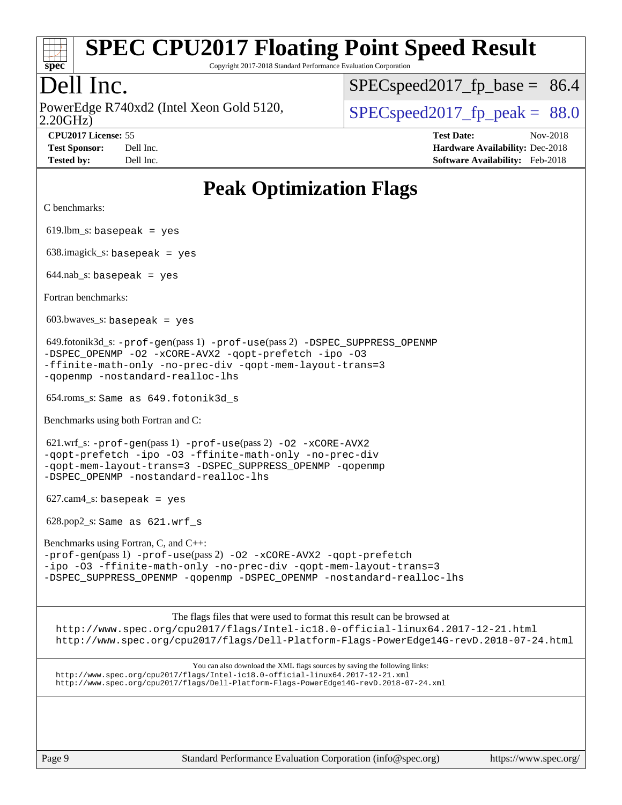

Copyright 2017-2018 Standard Performance Evaluation Corporation

## Dell Inc.

2.20GHz) PowerEdge R740xd2 (Intel Xeon Gold 5120,  $\text{SPEC speed2017\_fp\_peak} = 88.0$ 

[SPECspeed2017\\_fp\\_base =](http://www.spec.org/auto/cpu2017/Docs/result-fields.html#SPECspeed2017fpbase) 86.4

**[CPU2017 License:](http://www.spec.org/auto/cpu2017/Docs/result-fields.html#CPU2017License)** 55 **[Test Date:](http://www.spec.org/auto/cpu2017/Docs/result-fields.html#TestDate)** Nov-2018 **[Test Sponsor:](http://www.spec.org/auto/cpu2017/Docs/result-fields.html#TestSponsor)** Dell Inc. **[Hardware Availability:](http://www.spec.org/auto/cpu2017/Docs/result-fields.html#HardwareAvailability)** Dec-2018 **[Tested by:](http://www.spec.org/auto/cpu2017/Docs/result-fields.html#Testedby)** Dell Inc. **[Software Availability:](http://www.spec.org/auto/cpu2017/Docs/result-fields.html#SoftwareAvailability)** Feb-2018

| <b>Peak Optimization Flags</b>                                                                                                                                                                                                                            |  |  |  |  |  |  |
|-----------------------------------------------------------------------------------------------------------------------------------------------------------------------------------------------------------------------------------------------------------|--|--|--|--|--|--|
| C benchmarks:                                                                                                                                                                                                                                             |  |  |  |  |  |  |
| $619$ .lbm_s: basepeak = yes                                                                                                                                                                                                                              |  |  |  |  |  |  |
| $638$ .imagick_s: basepeak = yes                                                                                                                                                                                                                          |  |  |  |  |  |  |
| $644.nab_s$ : basepeak = yes                                                                                                                                                                                                                              |  |  |  |  |  |  |
| Fortran benchmarks:                                                                                                                                                                                                                                       |  |  |  |  |  |  |
| $603.bwaves$ s: basepeak = yes                                                                                                                                                                                                                            |  |  |  |  |  |  |
| $649.$ fotonik3d_s: -prof-gen(pass 1) -prof-use(pass 2) -DSPEC_SUPPRESS_OPENMP<br>-DSPEC_OPENMP -02 -xCORE-AVX2 -qopt-prefetch -ipo -03<br>-ffinite-math-only -no-prec-div -qopt-mem-layout-trans=3<br>-gopenmp -nostandard-realloc-lhs                   |  |  |  |  |  |  |
| 654.roms_s: Same as 649.fotonik3d s                                                                                                                                                                                                                       |  |  |  |  |  |  |
| Benchmarks using both Fortran and C:                                                                                                                                                                                                                      |  |  |  |  |  |  |
| 621.wrf_s: -prof-gen(pass 1) -prof-use(pass 2) -02 -xCORE-AVX2<br>-gopt-prefetch -ipo -03 -ffinite-math-only -no-prec-div<br>-gopt-mem-layout-trans=3 -DSPEC_SUPPRESS_OPENMP -gopenmp<br>-DSPEC_OPENMP -nostandard-realloc-lhs                            |  |  |  |  |  |  |
| $627.cam4_s$ : basepeak = yes                                                                                                                                                                                                                             |  |  |  |  |  |  |
| 628.pop2_s: Same as 621.wrf_s                                                                                                                                                                                                                             |  |  |  |  |  |  |
| Benchmarks using Fortran, C, and C++:<br>-prof-gen(pass 1) -prof-use(pass 2) -02 -xCORE-AVX2 -qopt-prefetch<br>-ipo -03 -ffinite-math-only -no-prec-div -qopt-mem-layout-trans=3<br>-DSPEC_SUPPRESS_OPENMP -qopenmp -DSPEC_OPENMP -nostandard-realloc-lhs |  |  |  |  |  |  |
| The flags files that were used to format this result can be browsed at<br>http://www.spec.org/cpu2017/flags/Intel-ic18.0-official-linux64.2017-12-21.html<br>http://www.spec.org/cpu2017/flags/Dell-Platform-Flags-PowerEdge14G-revD.2018-07-24.html      |  |  |  |  |  |  |
| You can also download the XML flags sources by saving the following links:<br>http://www.spec.org/cpu2017/flags/Intel-ic18.0-official-linux64.2017-12-21.xml<br>http://www.spec.org/cpu2017/flags/Dell-Platform-Flags-PowerEdge14G-revD.2018-07-24.xml    |  |  |  |  |  |  |